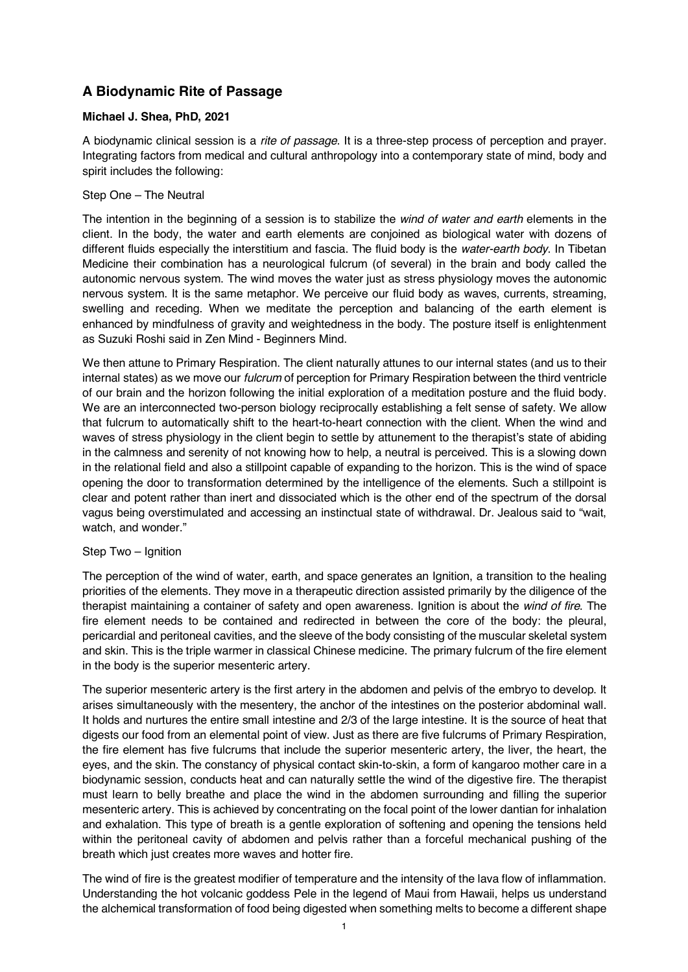# **A Biodynamic Rite of Passage**

## **Michael J. Shea, PhD, 2021**

A biodynamic clinical session is a *rite of passage*. It is a three-step process of perception and prayer. Integrating factors from medical and cultural anthropology into a contemporary state of mind, body and spirit includes the following:

### Step One – The Neutral

The intention in the beginning of a session is to stabilize the *wind of water and earth* elements in the client. In the body, the water and earth elements are conjoined as biological water with dozens of different fluids especially the interstitium and fascia. The fluid body is the *water-earth body*. In Tibetan Medicine their combination has a neurological fulcrum (of several) in the brain and body called the autonomic nervous system. The wind moves the water just as stress physiology moves the autonomic nervous system. It is the same metaphor. We perceive our fluid body as waves, currents, streaming, swelling and receding. When we meditate the perception and balancing of the earth element is enhanced by mindfulness of gravity and weightedness in the body. The posture itself is enlightenment as Suzuki Roshi said in Zen Mind - Beginners Mind.

We then attune to Primary Respiration. The client naturally attunes to our internal states (and us to their internal states) as we move our *fulcrum* of perception for Primary Respiration between the third ventricle of our brain and the horizon following the initial exploration of a meditation posture and the fluid body. We are an interconnected two-person biology reciprocally establishing a felt sense of safety. We allow that fulcrum to automatically shift to the heart-to-heart connection with the client. When the wind and waves of stress physiology in the client begin to settle by attunement to the therapist's state of abiding in the calmness and serenity of not knowing how to help, a neutral is perceived. This is a slowing down in the relational field and also a stillpoint capable of expanding to the horizon. This is the wind of space opening the door to transformation determined by the intelligence of the elements. Such a stillpoint is clear and potent rather than inert and dissociated which is the other end of the spectrum of the dorsal vagus being overstimulated and accessing an instinctual state of withdrawal. Dr. Jealous said to "wait, watch, and wonder."

#### Step Two – Ignition

The perception of the wind of water, earth, and space generates an Ignition, a transition to the healing priorities of the elements. They move in a therapeutic direction assisted primarily by the diligence of the therapist maintaining a container of safety and open awareness. Ignition is about the *wind of fire*. The fire element needs to be contained and redirected in between the core of the body: the pleural, pericardial and peritoneal cavities, and the sleeve of the body consisting of the muscular skeletal system and skin. This is the triple warmer in classical Chinese medicine. The primary fulcrum of the fire element in the body is the superior mesenteric artery.

The superior mesenteric artery is the first artery in the abdomen and pelvis of the embryo to develop. It arises simultaneously with the mesentery, the anchor of the intestines on the posterior abdominal wall. It holds and nurtures the entire small intestine and 2/3 of the large intestine. It is the source of heat that digests our food from an elemental point of view. Just as there are five fulcrums of Primary Respiration, the fire element has five fulcrums that include the superior mesenteric artery, the liver, the heart, the eyes, and the skin. The constancy of physical contact skin-to-skin, a form of kangaroo mother care in a biodynamic session, conducts heat and can naturally settle the wind of the digestive fire. The therapist must learn to belly breathe and place the wind in the abdomen surrounding and filling the superior mesenteric artery. This is achieved by concentrating on the focal point of the lower dantian for inhalation and exhalation. This type of breath is a gentle exploration of softening and opening the tensions held within the peritoneal cavity of abdomen and pelvis rather than a forceful mechanical pushing of the breath which just creates more waves and hotter fire.

The wind of fire is the greatest modifier of temperature and the intensity of the lava flow of inflammation. Understanding the hot volcanic goddess Pele in the legend of Maui from Hawaii, helps us understand the alchemical transformation of food being digested when something melts to become a different shape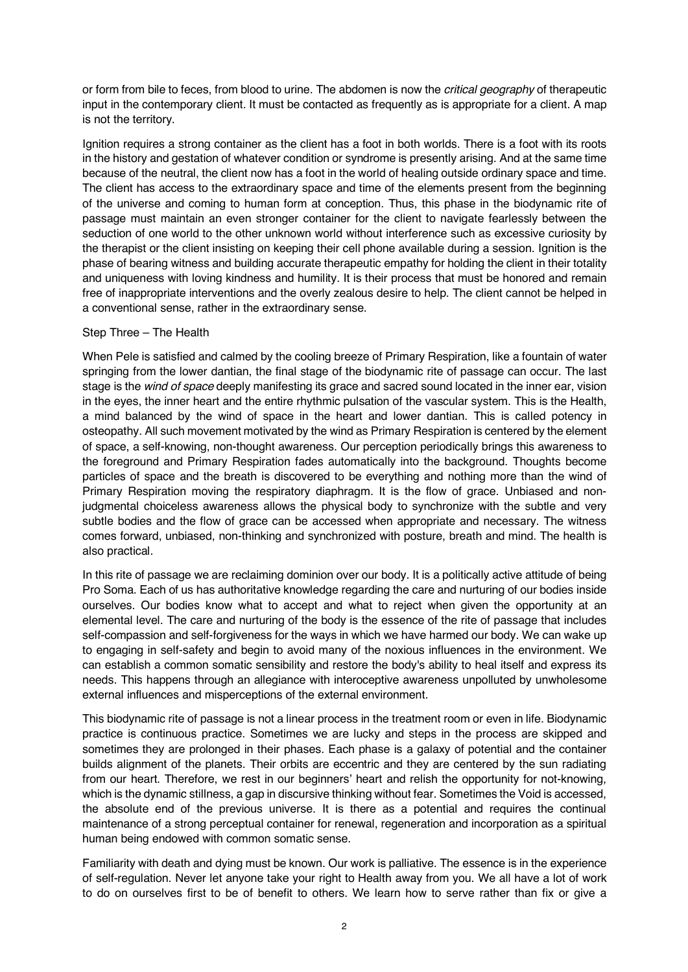or form from bile to feces, from blood to urine. The abdomen is now the *critical geography* of therapeutic input in the contemporary client. It must be contacted as frequently as is appropriate for a client. A map is not the territory.

Ignition requires a strong container as the client has a foot in both worlds. There is a foot with its roots in the history and gestation of whatever condition or syndrome is presently arising. And at the same time because of the neutral, the client now has a foot in the world of healing outside ordinary space and time. The client has access to the extraordinary space and time of the elements present from the beginning of the universe and coming to human form at conception. Thus, this phase in the biodynamic rite of passage must maintain an even stronger container for the client to navigate fearlessly between the seduction of one world to the other unknown world without interference such as excessive curiosity by the therapist or the client insisting on keeping their cell phone available during a session. Ignition is the phase of bearing witness and building accurate therapeutic empathy for holding the client in their totality and uniqueness with loving kindness and humility. It is their process that must be honored and remain free of inappropriate interventions and the overly zealous desire to help. The client cannot be helped in a conventional sense, rather in the extraordinary sense.

### Step Three – The Health

When Pele is satisfied and calmed by the cooling breeze of Primary Respiration, like a fountain of water springing from the lower dantian, the final stage of the biodynamic rite of passage can occur. The last stage is the *wind of space* deeply manifesting its grace and sacred sound located in the inner ear, vision in the eyes, the inner heart and the entire rhythmic pulsation of the vascular system. This is the Health, a mind balanced by the wind of space in the heart and lower dantian. This is called potency in osteopathy. All such movement motivated by the wind as Primary Respiration is centered by the element of space, a self-knowing, non-thought awareness. Our perception periodically brings this awareness to the foreground and Primary Respiration fades automatically into the background. Thoughts become particles of space and the breath is discovered to be everything and nothing more than the wind of Primary Respiration moving the respiratory diaphragm. It is the flow of grace. Unbiased and nonjudgmental choiceless awareness allows the physical body to synchronize with the subtle and very subtle bodies and the flow of grace can be accessed when appropriate and necessary. The witness comes forward, unbiased, non-thinking and synchronized with posture, breath and mind. The health is also practical.

In this rite of passage we are reclaiming dominion over our body. It is a politically active attitude of being Pro Soma. Each of us has authoritative knowledge regarding the care and nurturing of our bodies inside ourselves. Our bodies know what to accept and what to reject when given the opportunity at an elemental level. The care and nurturing of the body is the essence of the rite of passage that includes self-compassion and self-forgiveness for the ways in which we have harmed our body. We can wake up to engaging in self-safety and begin to avoid many of the noxious influences in the environment. We can establish a common somatic sensibility and restore the body's ability to heal itself and express its needs. This happens through an allegiance with interoceptive awareness unpolluted by unwholesome external influences and misperceptions of the external environment.

This biodynamic rite of passage is not a linear process in the treatment room or even in life. Biodynamic practice is continuous practice. Sometimes we are lucky and steps in the process are skipped and sometimes they are prolonged in their phases. Each phase is a galaxy of potential and the container builds alignment of the planets. Their orbits are eccentric and they are centered by the sun radiating from our heart. Therefore, we rest in our beginners' heart and relish the opportunity for not-knowing, which is the dynamic stillness, a gap in discursive thinking without fear. Sometimes the Void is accessed, the absolute end of the previous universe. It is there as a potential and requires the continual maintenance of a strong perceptual container for renewal, regeneration and incorporation as a spiritual human being endowed with common somatic sense.

Familiarity with death and dying must be known. Our work is palliative. The essence is in the experience of self-regulation. Never let anyone take your right to Health away from you. We all have a lot of work to do on ourselves first to be of benefit to others. We learn how to serve rather than fix or give a